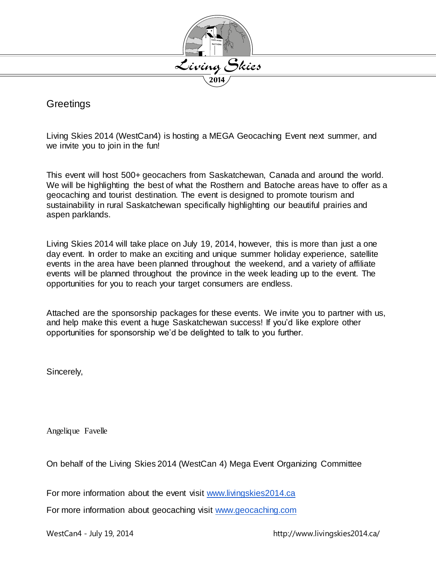

### **Greetings**

Living Skies 2014 (WestCan4) is hosting a MEGA Geocaching Event next summer, and we invite you to join in the fun!

This event will host 500+ geocachers from Saskatchewan, Canada and around the world. We will be highlighting the best of what the Rosthern and Batoche areas have to offer as a geocaching and tourist destination. The event is designed to promote tourism and sustainability in rural Saskatchewan specifically highlighting our beautiful prairies and aspen parklands.

Living Skies 2014 will take place on July 19, 2014, however, this is more than just a one day event. In order to make an exciting and unique summer holiday experience, satellite events in the area have been planned throughout the weekend, and a variety of affiliate events will be planned throughout the province in the week leading up to the event. The opportunities for you to reach your target consumers are endless.

Attached are the sponsorship packages for these events. We invite you to partner with us, and help make this event a huge Saskatchewan success! If you'd like explore other opportunities for sponsorship we'd be delighted to talk to you further.

Sincerely,

Angelique Favelle

On behalf of the Living Skies 2014 (WestCan 4) Mega Event Organizing Committee

For more information about the event visit [www.livingskies2014.ca](http://www.livingskies2014.ca/)

For more information about geocaching visit [www.geocaching.com](http://www.geocaching.com/)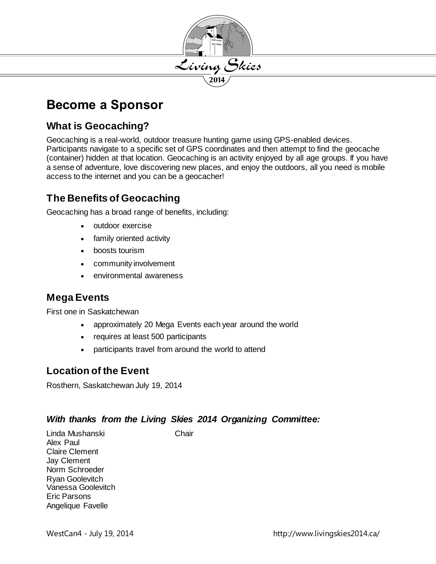

# **Become a Sponsor**

### **What is Geocaching?**

Geocaching is a real-world, outdoor treasure hunting game using GPS-enabled devices. Participants navigate to a specific set of GPS coordinates and then attempt to find the geocache (container) hidden at that location. Geocaching is an activity enjoyed by all age groups. If you have a sense of adventure, love discovering new places, and enjoy the outdoors, all you need is mobile access to the internet and you can be a geocacher!

### **The Benefits of Geocaching**

Geocaching has a broad range of benefits, including:

- outdoor exercise
- family oriented activity
- boosts tourism
- community involvement
- environmental awareness

### **Mega Events**

First one in Saskatchewan

- approximately 20 Mega Events each year around the world
- requires at least 500 participants
- participants travel from around the world to attend

### **Location of the Event**

Rosthern, Saskatchewan July 19, 2014

#### *With thanks from the Living Skies 2014 Organizing Committee:*

Linda Mushanski Chair Alex Paul Claire Clement Jay Clement Norm Schroeder Ryan Goolevitch Vanessa Goolevitch Eric Parsons Angelique Favelle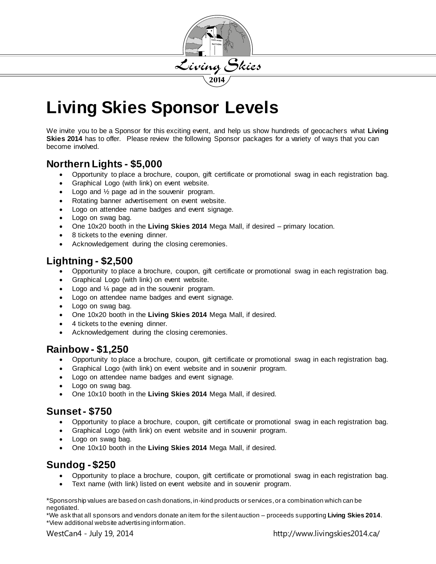

# **Living Skies Sponsor Levels**

We invite you to be a Sponsor for this exciting event, and help us show hundreds of geocachers what **Living Skies 2014** has to offer. Please review the following Sponsor packages for a variety of ways that you can become involved.

### **Northern Lights - \$5,000**

- Opportunity to place a brochure, coupon, gift certificate or promotional swag in each registration bag.
- Graphical Logo (with link) on event website.
- Logo and ½ page ad in the souvenir program.
- Rotating banner advertisement on event website.
- Logo on attendee name badges and event signage.
- Logo on swag bag.
- One 10x20 booth in the **Living Skies 2014** Mega Mall, if desired primary location.
- 8 tickets to the evening dinner.
- Acknowledgement during the closing ceremonies.

### **Lightning - \$2,500**

- Opportunity to place a brochure, coupon, gift certificate or promotional swag in each registration bag.
- Graphical Logo (with link) on event website.
- Logo and ¼ page ad in the souvenir program.
- Logo on attendee name badges and event signage.
- Logo on swag bag.
- One 10x20 booth in the **Living Skies 2014** Mega Mall, if desired.
- 4 tickets to the evening dinner.
- Acknowledgement during the closing ceremonies.

### **Rainbow - \$1,250**

- Opportunity to place a brochure, coupon, gift certificate or promotional swag in each registration bag.
- Graphical Logo (with link) on event website and in souvenir program.
- Logo on attendee name badges and event signage.
- Logo on swag bag.
- One 10x10 booth in the **Living Skies 2014** Mega Mall, if desired.

### **Sunset - \$750**

- Opportunity to place a brochure, coupon, gift certificate or promotional swag in each registration bag.
- Graphical Logo (with link) on event website and in souvenir program.
- Logo on swag bag.
- One 10x10 booth in the **Living Skies 2014** Mega Mall, if desired.

## **Sundog - \$250**

- Opportunity to place a brochure, coupon, gift certificate or promotional swag in each registration bag.
- Text name (with link) listed on event website and in souvenir program.

\*Sponsorship values are based on cash donations, in-kind products or services, or a combination which can be negotiated.

\*We ask that all sponsors and vendors donate an item for the silent auction – proceeds supporting **Living Skies 2014**. \*View additional website advertising information.